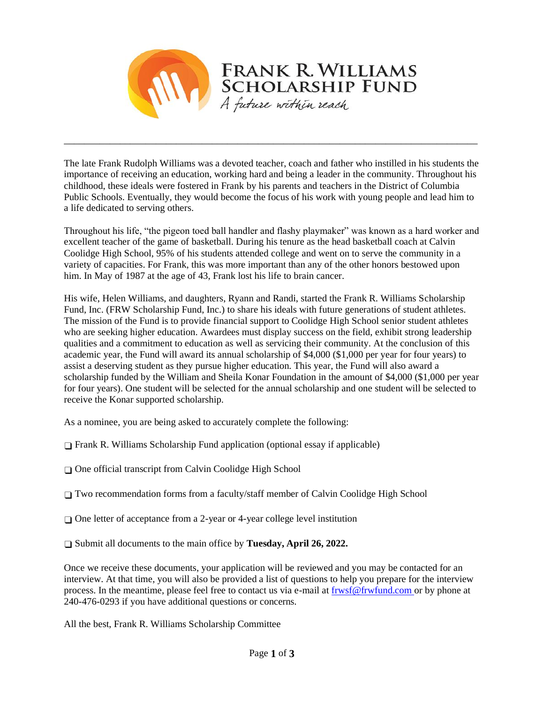

The late Frank Rudolph Williams was a devoted teacher, coach and father who instilled in his students the importance of receiving an education, working hard and being a leader in the community. Throughout his childhood, these ideals were fostered in Frank by his parents and teachers in the District of Columbia Public Schools. Eventually, they would become the focus of his work with young people and lead him to a life dedicated to serving others.

\_\_\_\_\_\_\_\_\_\_\_\_\_\_\_\_\_\_\_\_\_\_\_\_\_\_\_\_\_\_\_\_\_\_\_\_\_\_\_\_\_\_\_\_\_\_\_\_\_\_\_\_\_\_\_\_\_\_\_\_\_\_\_\_\_\_\_\_\_\_\_\_\_\_\_\_\_\_\_\_\_

Throughout his life, "the pigeon toed ball handler and flashy playmaker" was known as a hard worker and excellent teacher of the game of basketball. During his tenure as the head basketball coach at Calvin Coolidge High School, 95% of his students attended college and went on to serve the community in a variety of capacities. For Frank, this was more important than any of the other honors bestowed upon him. In May of 1987 at the age of 43, Frank lost his life to brain cancer.

His wife, Helen Williams, and daughters, Ryann and Randi, started the Frank R. Williams Scholarship Fund, Inc. (FRW Scholarship Fund, Inc.) to share his ideals with future generations of student athletes. The mission of the Fund is to provide financial support to Coolidge High School senior student athletes who are seeking higher education. Awardees must display success on the field, exhibit strong leadership qualities and a commitment to education as well as servicing their community. At the conclusion of this academic year, the Fund will award its annual scholarship of \$4,000 (\$1,000 per year for four years) to assist a deserving student as they pursue higher education. This year, the Fund will also award a scholarship funded by the William and Sheila Konar Foundation in the amount of \$4,000 (\$1,000 per year for four years). One student will be selected for the annual scholarship and one student will be selected to receive the Konar supported scholarship.

As a nominee, you are being asked to accurately complete the following:

 $\Box$  Frank R. Williams Scholarship Fund application (optional essay if applicable)

❑ One official transcript from Calvin Coolidge High School

❑ Two recommendation forms from a faculty/staff member of Calvin Coolidge High School

❑ One letter of acceptance from a 2-year or 4-year college level institution

❑ Submit all documents to the main office by **Tuesday, April 26, 2022.** 

Once we receive these documents, your application will be reviewed and you may be contacted for an interview. At that time, you will also be provided a list of questions to help you prepare for the interview process. In the meantime, please feel free to contact us via e-mail at frwsf@frwfund.com or by phone at 240-476-0293 if you have additional questions or concerns.

All the best, Frank R. Williams Scholarship Committee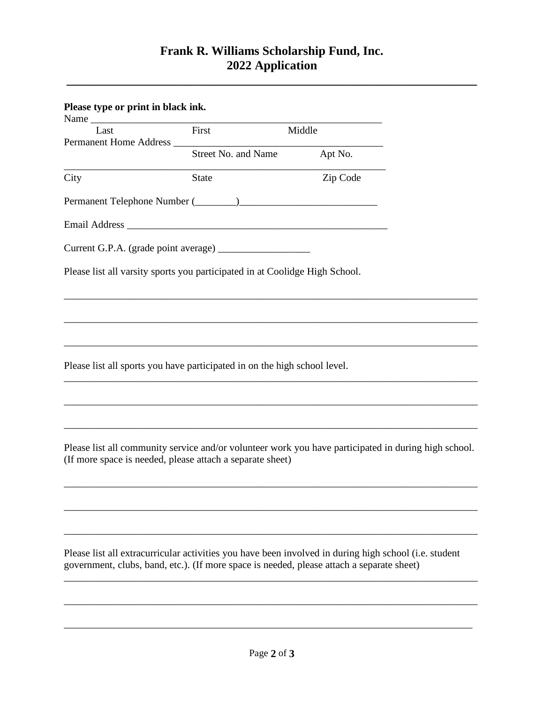## **Frank R. Williams Scholarship Fund, Inc. 2022 Application**

**\_\_\_\_\_\_\_\_\_\_\_\_\_\_\_\_\_\_\_\_\_\_\_\_\_\_\_\_\_\_\_\_\_\_\_\_\_\_\_\_\_\_\_\_\_\_\_\_\_\_\_\_\_\_\_\_\_\_\_\_\_\_\_\_\_\_**

| Please type or print in black ink.                                                                                                                                                                 |                            |          |  |
|----------------------------------------------------------------------------------------------------------------------------------------------------------------------------------------------------|----------------------------|----------|--|
| Last<br>Permanent Home Address _______                                                                                                                                                             | $\overline{First}$         | Middle   |  |
|                                                                                                                                                                                                    | <b>Street No. and Name</b> | Apt No.  |  |
| City                                                                                                                                                                                               | <b>State</b>               | Zip Code |  |
|                                                                                                                                                                                                    |                            |          |  |
|                                                                                                                                                                                                    |                            |          |  |
|                                                                                                                                                                                                    |                            |          |  |
| Please list all varsity sports you participated in at Coolidge High School.                                                                                                                        |                            |          |  |
|                                                                                                                                                                                                    |                            |          |  |
|                                                                                                                                                                                                    |                            |          |  |
| Please list all sports you have participated in on the high school level.                                                                                                                          |                            |          |  |
|                                                                                                                                                                                                    |                            |          |  |
|                                                                                                                                                                                                    |                            |          |  |
| Please list all community service and/or volunteer work you have participated in during high school.<br>(If more space is needed, please attach a separate sheet)                                  |                            |          |  |
|                                                                                                                                                                                                    |                            |          |  |
|                                                                                                                                                                                                    |                            |          |  |
| Please list all extracurricular activities you have been involved in during high school (i.e. student<br>government, clubs, band, etc.). (If more space is needed, please attach a separate sheet) |                            |          |  |
|                                                                                                                                                                                                    |                            |          |  |

\_\_\_\_\_\_\_\_\_\_\_\_\_\_\_\_\_\_\_\_\_\_\_\_\_\_\_\_\_\_\_\_\_\_\_\_\_\_\_\_\_\_\_\_\_\_\_\_\_\_\_\_\_\_\_\_\_\_\_\_\_\_\_\_\_\_\_\_\_\_\_\_\_\_\_\_\_\_\_\_